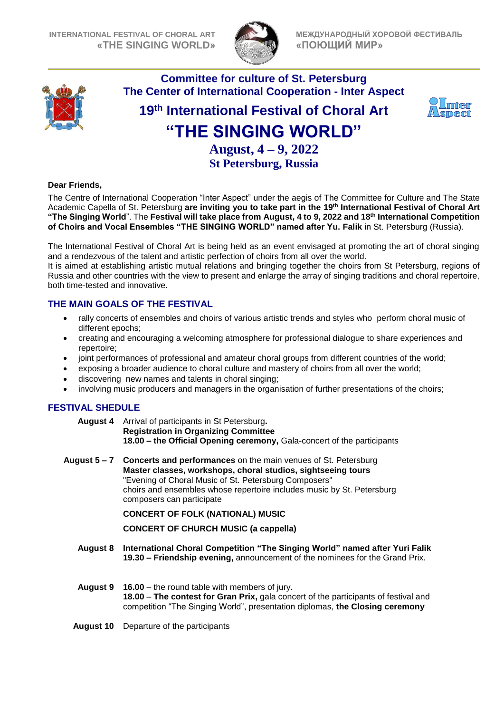

**МЕЖДУНАРОДНЫЙ ХОРОВОЙ ФЕСТИВАЛЬ «ПОЮЩИЙ МИР»**



# **Committee for culture of St. Petersburg The Center of International Cooperation - Inter Aspect**

# **19 th International Festival of Choral Art "THE SINGING WORLD"**



**August, 4 – 9, 2022 St Petersburg, Russia**

### **Dear Friends,**

The Centre of International Cooperation "Inter Aspect" under the aegis of The Committee for Culture and The State Academic Capella of St. Petersburg **are inviting you to take part in the 19 th International Festival of Choral Art "The Singing World**". The **Festival will take place from August, 4 to 9, 2022 and 18th International Competition of Choirs and Vocal Ensembles "THE SINGING WORLD" named after Yu. Falik** in St. Petersburg (Russia).

The International Festival of Choral Art is being held as an event envisaged at promoting the art of choral singing and a rendezvous of the talent and artistic perfection of choirs from all over the world.

It is aimed at establishing artistic mutual relations and bringing together the choirs from St Petersburg, regions of Russia and other countries with the view to present and enlarge the array of singing traditions and choral repertoire, both time-tested and innovative.

## **THE MAIN GOALS OF THE FESTIVAL**

- rally concerts of ensembles and choirs of various artistic trends and styles who perform choral music of different epochs;
- creating and encouraging a welcoming atmosphere for professional dialogue to share experiences and repertoire;
- joint performances of professional and amateur choral groups from different countries of the world;
- exposing a broader audience to choral culture and mastery of choirs from all over the world;
- discovering new names and talents in choral singing;
- involving music producers and managers in the organisation of further presentations of the choirs;

## **FESTIVAL SHEDULE**

**August 4** Arrival of participants in St Petersburg**. Registration in Organizing Committee 18.00 – the Official Opening ceremony,** Gala-concert of the participants

**August 5 – 7 Concerts and performances** on the main venues of St. Petersburg **Master classes, workshops, choral studios, sightseeing tours** "Evening of Choral Music of St. Petersburg Composers" choirs and ensembles whose repertoire includes music by St. Petersburg composers can participate

**CONCERT OF FOLK (NATIONAL) MUSIC**

**CONCERT OF CHURCH MUSIC (a cappella)**

- **August 8 International Choral Competition "The Singing World" named after Yuri Falik 19.30 – Friendship evening,** announcement of the nominees for the Grand Prix.
- **August 9 16.00** the round table with members of jury. **18.00** – **The contest for Gran Prix,** gala concert of the participants of festival and competition "The Singing World", presentation diplomas, **the Closing ceremony**
- **August 10** Departure of the participants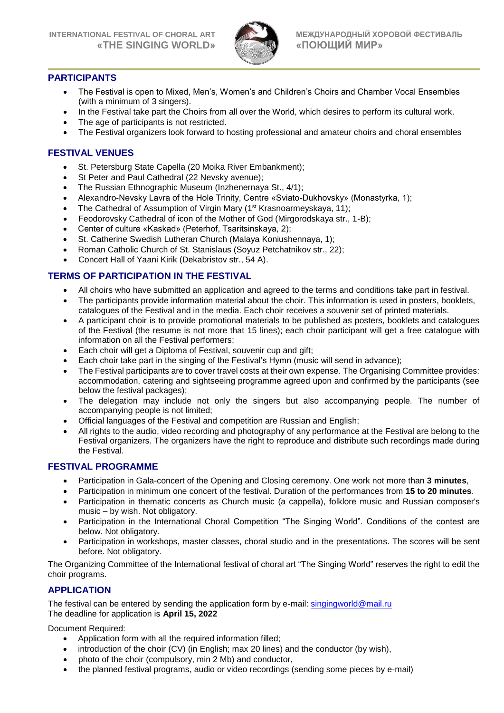

## **PARTICIPANTS**

- The Festival is open to Mixed, Men's, Women's and Children's Choirs and Chamber Vocal Ensembles (with a minimum of 3 singers).
- In the Festival take part the Choirs from all over the World, which desires to perform its cultural work.
- The age of participants is not restricted.
- The Festival organizers look forward to hosting professional and amateur choirs and choral ensembles

## **FESTIVAL VENUES**

- St. Petersburg State Capella (20 Moika River Embankment);
- St Peter and Paul Cathedral (22 Nevsky avenue);
- The Russian Ethnographic Museum (Inzhenernaya St., 4/1);
- Alexandro-Nevsky Lavra of the Hole Trinity, Centre «Sviato-Dukhovsky» (Monastyrka, 1);
- The Cathedral of Assumption of Virgin Mary (1<sup>st</sup> Krasnoarmeyskaya, 11);
- Feodorovsky Cathedral of icon of the Mother of God (Mirgorodskaya str., 1-B);
- Center of culture «Kaskad» (Peterhof, Tsaritsinskaya, 2);
- St. Catherine Swedish Lutheran Church (Malaya Koniushennaya, 1);
- Roman Catholic Church of St. Stanislaus (Soyuz Petchatnikov str., 22);
- Concert Hall of Yaani Kirik (Dekabristov str., 54 A).

## **TERMS OF PARTICIPATION IN THE FESTIVAL**

- All choirs who have submitted an application and agreed to the terms and conditions take part in festival.
- The participants provide information material about the choir. This information is used in posters, booklets, catalogues of the Festival and in the media. Each choir receives a souvenir set of printed materials.
- A participant choir is to provide promotional materials to be published as posters, booklets and catalogues of the Festival (the resume is not more that 15 lines); each choir participant will get a free catalogue with information on all the Festival performers;
- Each choir will get a Diploma of Festival, souvenir cup and gift;
- Each choir take part in the singing of the Festival's Hymn (music will send in advance);
- The Festival participants are to cover travel costs at their own expense. The Organising Committee provides: accommodation, catering and sightseeing programme agreed upon and confirmed by the participants (see below the festival packages);
- The delegation may include not only the singers but also accompanying people. The number of accompanying people is not limited;
- Official languages of the Festival and competition are Russian and English;
- All rights to the audio, video recording and photography of any performance at the Festival are belong to the Festival organizers. The organizers have the right to reproduce and distribute such recordings made during the Festival.

## **FESTIVAL PROGRAMME**

- Participation in Gala-concert of the Opening and Closing ceremony. One work not more than **3 minutes**,
- Participation in minimum one concert of the festival. Duration of the performances from **15 to 20 minutes**.
- Participation in thematic concerts as Church music (a cappella), folklore music and Russian composer's music – by wish. Not obligatory.
- Participation in the International Choral Competition "The Singing World". Conditions of the contest are below. Not obligatory.
- Participation in workshops, master classes, choral studio and in the presentations. The scores will be sent before. Not obligatory.

The Organizing Committee of the International festival of choral art "The Singing World" reserves the right to edit the choir programs.

## **APPLICATION**

The festival can be entered by sending the application form by e-mail: [singingworld@mail.ru](mailto:singingworld@mail.ru)  The deadline for application is **April 15, 2022**

Document Required:

- Application form with all the required information filled;
- introduction of the choir (CV) (in English; max 20 lines) and the conductor (by wish),
- photo of the choir (compulsory, min 2 Mb) and conductor,
- the planned festival programs, audio or video recordings (sending some pieces by e-mail)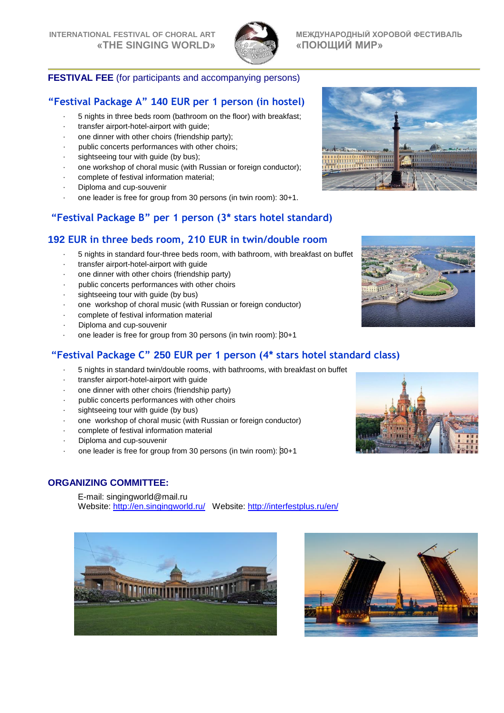

**Alim** 

## **FESTIVAL FEE** (for participants and accompanying persons)

## **"Festival Package A" 140 EUR per 1 person (in hostel)**

- 5 nights in three beds room (bathroom on the floor) with breakfast;
- transfer airport-hotel-airport with guide;
- one dinner with other choirs (friendship party);
- public concerts performances with other choirs;
- sightseeing tour with guide (by bus);
- one workshop of choral music (with Russian or foreign conductor);
- complete of festival information material;
- Diploma and cup-souvenir
- one leader is free for group from 30 persons (in twin room): 30+1.

## **"Festival Package B" per 1 person (3\* stars hotel standard)**

## **192 EUR in three beds room, 210 EUR in twin/double room**

- 5 nights in standard four-three beds room, with bathroom, with breakfast on buffet
- transfer airport-hotel-airport with guide
- one dinner with other choirs (friendship party)
- public concerts performances with other choirs
- sightseeing tour with guide (by bus)
- one workshop of choral music (with Russian or foreign conductor)
- complete of festival information material
- Diploma and cup-souvenir
- one leader is free for group from 30 persons (in twin room): 30+1

## **"Festival Package C" 250 EUR per 1 person (4\* stars hotel standard class)**

- 5 nights in standard twin/double rooms, with bathrooms, with breakfast on buffet
- transfer airport-hotel-airport with guide
- one dinner with other choirs (friendship party)
- public concerts performances with other choirs
- sightseeing tour with guide (by bus)
- one workshop of choral music (with Russian or foreign conductor)
- complete of festival information material
- Diploma and cup-souvenir
- one leader is free for group from 30 persons (in twin room): 30+1

## **ORGANIZING COMMITTEE:**

E-mail: [singingworld@mail.ru](mailto:singingworld@mail.ru) Website:<http://en.singingworld.ru/>Website:<http://interfestplus.ru/en/>







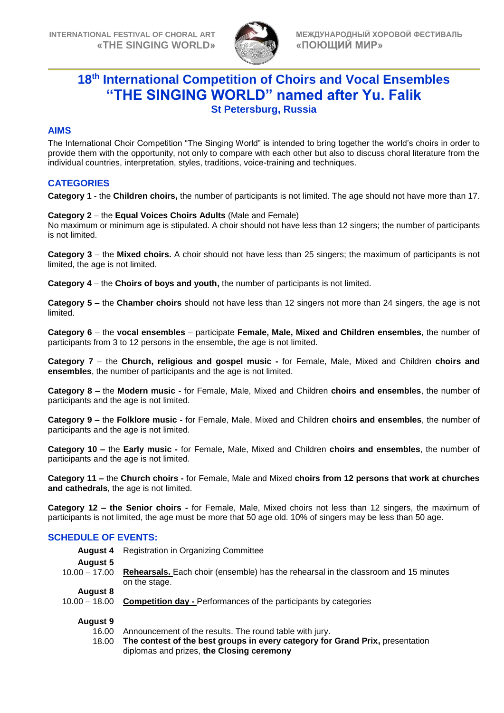

# **18 th International Competition of Choirs and Vocal Ensembles "THE SINGING WORLD" named after Yu. Falik St Petersburg, Russia**

## **AIMS**

The International Choir Competition "The Singing World" is intended to bring together the world's choirs in order to provide them with the opportunity, not only to compare with each other but also to discuss choral literature from the individual countries, interpretation, styles, traditions, voice-training and techniques.

## **CATEGORIES**

**Category 1** - the **Children choirs,** the number of participants is not limited. The age should not have more than 17.

### **Category 2** – the **Equal Voices Choirs Adults** (Male and Female)

No maximum or minimum age is stipulated. A choir should not have less than 12 singers; the number of participants is not limited.

**Category 3** – the **Mixed choirs.** A choir should not have less than 25 singers; the maximum of participants is not limited, the age is not limited.

**Category 4** – the **Choirs of boys and youth,** the number of participants is not limited.

**Category 5** – the **Chamber choirs** should not have less than 12 singers not more than 24 singers, the age is not limited.

**Category 6** – the **vocal ensembles** – participate **Female, Male, Mixed and Children ensembles**, the number of participants from 3 to 12 persons in the ensemble, the age is not limited.

**Category 7** – the **Church, religious and gospel music -** for Female, Male, Mixed and Children **choirs and ensembles**, the number of participants and the age is not limited.

**Category 8 –** the **Modern music -** for Female, Male, Mixed and Children **choirs and ensembles**, the number of participants and the age is not limited.

**Category 9 –** the **Folklore music -** for Female, Male, Mixed and Children **choirs and ensembles**, the number of participants and the age is not limited.

**Category 10 –** the **Early music -** for Female, Male, Mixed and Children **choirs and ensembles**, the number of participants and the age is not limited.

**Category 11 –** the **Church choirs -** for Female, Male and Mixed **choirs from 12 persons that work at churches and cathedrals**, the age is not limited.

**Category 12 – the Senior choirs -** for Female, Male, Mixed choirs not less than 12 singers, the maximum of participants is not limited, the age must be more that 50 age old. 10% of singers may be less than 50 age.

## **SCHEDULE OF EVENTS:**

| August 4        | <b>Registration in Organizing Committee</b>                                                                 |  |
|-----------------|-------------------------------------------------------------------------------------------------------------|--|
| <b>August 5</b> |                                                                                                             |  |
| 10.00 – 17.00   | <b>Rehearsals.</b> Each choir (ensemble) has the rehearsal in the classroom and 15 minutes<br>on the stage. |  |
| <b>August 8</b> |                                                                                                             |  |
| $10.00 - 18.00$ | <b>Competition day - Performances of the participants by categories</b>                                     |  |
|                 |                                                                                                             |  |

#### **August 9**

16.00 Announcement of the results. The round table with jury.

18.00 **The contest of the best groups in every category for Grand Prix,** presentation diplomas and prizes, **the Closing ceremony**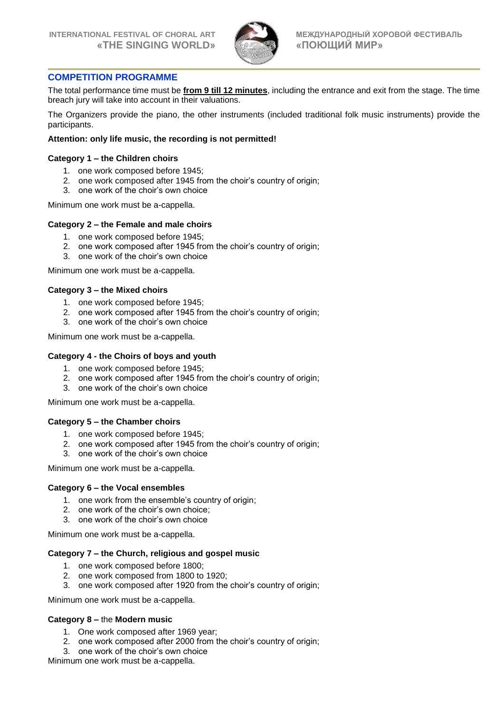

### **COMPETITION PROGRAMME**

The total performance time must be **from 9 till 12 minutes**, including the entrance and exit from the stage. The time breach jury will take into account in their valuations.

The Organizers provide the piano, the other instruments (included traditional folk music instruments) provide the participants.

#### **Attention: only life music, the recording is not permitted!**

#### **Category 1 – the Children choirs**

- 1. one work composed before 1945;
- 2. one work composed after 1945 from the choir's country of origin;
- 3. one work of the choir's own choice

Minimum one work must be a-cappella.

#### **Category 2 – the Female and male choirs**

- 1. one work composed before 1945;
- 2. one work composed after 1945 from the choir's country of origin;
- 3. one work of the choir's own choice

Minimum one work must be a-cappella.

#### **Category 3 – the Mixed choirs**

- 1. one work composed before 1945;
- 2. one work composed after 1945 from the choir's country of origin;
- 3. one work of the choir's own choice

Minimum one work must be a-cappella.

#### **Category 4 - the Choirs of boys and youth**

- 1. one work composed before 1945;
- 2. one work composed after 1945 from the choir's country of origin;
- 3. one work of the choir's own choice

Minimum one work must be a-cappella.

#### **Category 5 – the Chamber choirs**

- 1. one work composed before 1945;
- 2. one work composed after 1945 from the choir's country of origin;
- 3. one work of the choir's own choice

Minimum one work must be a-cappella.

#### **Category 6 – the Vocal ensembles**

- 1. one work from the ensemble's country of origin;
- 2. one work of the choir's own choice;
- 3. one work of the choir's own choice

Minimum one work must be a-cappella.

#### **Category 7 – the Church, religious and gospel music**

- 1. one work composed before 1800;
- 2. one work composed from 1800 to 1920;
- 3. one work composed after 1920 from the choir's country of origin;

Minimum one work must be a-cappella.

#### **Category 8 –** the **Modern music**

- 1. One work composed after 1969 year;
- 2. one work composed after 2000 from the choir's country of origin;
- 3. one work of the choir's own choice

Minimum one work must be a-cappella.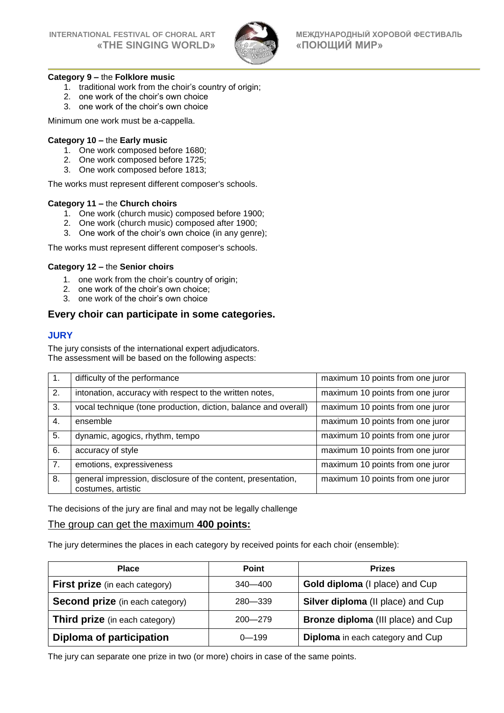

#### **Category 9 –** the **Folklore music**

- 1. traditional work from the choir's country of origin;
- 2. one work of the choir's own choice
- 3. one work of the choir's own choice

Minimum one work must be a-cappella.

#### **Category 10 –** the **Early music**

- 1. One work composed before 1680;
- 2. One work composed before 1725;
- 3. One work composed before 1813;

The works must represent different composer's schools.

#### **Category 11 –** the **Church choirs**

- 1. One work (church music) composed before 1900;
- 2. One work (church music) composed after 1900;
- 3. One work of the choir's own choice (in any genre);

The works must represent different composer's schools.

#### **Category 12 –** the **Senior choirs**

- 1. one work from the choir's country of origin;
- 2. one work of the choir's own choice;
- 3. one work of the choir's own choice

## **Every choir can participate in some categories.**

#### **JURY**

The jury consists of the international expert adjudicators. The assessment will be based on the following aspects:

| $\mathbf{1}$ . | difficulty of the performance                                                      | maximum 10 points from one juror |
|----------------|------------------------------------------------------------------------------------|----------------------------------|
| 2.             | intonation, accuracy with respect to the written notes,                            | maximum 10 points from one juror |
| 3.             | vocal technique (tone production, diction, balance and overall)                    | maximum 10 points from one juror |
| 4.             | ensemble                                                                           | maximum 10 points from one juror |
| 5.             | dynamic, agogics, rhythm, tempo                                                    | maximum 10 points from one juror |
| 6.             | accuracy of style                                                                  | maximum 10 points from one juror |
| 7.             | emotions, expressiveness                                                           | maximum 10 points from one juror |
| 8.             | general impression, disclosure of the content, presentation,<br>costumes, artistic | maximum 10 points from one juror |

The decisions of the jury are final and may not be legally challenge

## The group can get the maximum **400 points:**

The jury determines the places in each category by received points for each choir (ensemble):

| <b>Place</b>                           | <b>Point</b> | <b>Prizes</b>                             |
|----------------------------------------|--------------|-------------------------------------------|
| <b>First prize</b> (in each category)  | 340—400      | Gold diploma (I place) and Cup            |
| <b>Second prize</b> (in each category) | 280-339      | Silver diploma (II place) and Cup         |
| <b>Third prize</b> (in each category)  | $200 - 279$  | <b>Bronze diploma (III place) and Cup</b> |
| Diploma of participation               | $0 - 199$    | <b>Diploma</b> in each category and Cup   |

The jury can separate one prize in two (or more) choirs in case of the same points.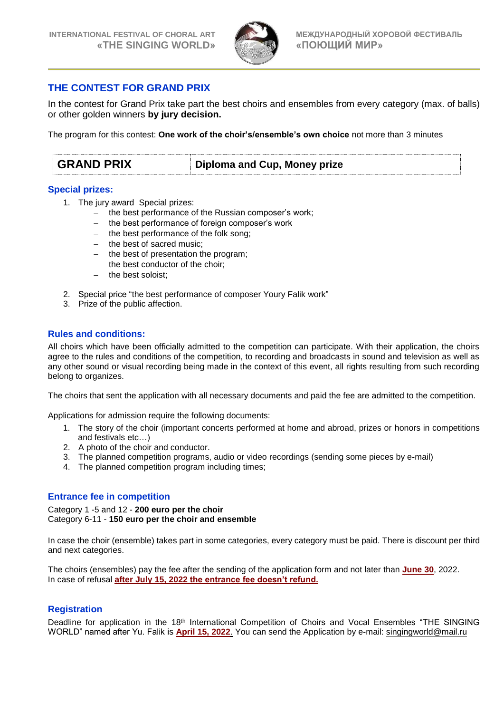

## **THE CONTEST FOR GRAND PRIX**

In the contest for Grand Prix take part the best choirs and ensembles from every category (max. of balls) or other golden winners **by jury decision.**

The program for this contest: **One work of the choir's/ensemble's own choice** not more than 3 minutes

| <b>GRAND PRIX</b><br>Diploma and Cup, Money prize |
|---------------------------------------------------|
|---------------------------------------------------|

### **Special prizes:**

- 1. The jury award Special prizes:
	- the best performance of the Russian composer's work;
	- the best performance of foreign composer's work
	- the best performance of the folk song;
	- the best of sacred music;
	- the best of presentation the program;
	- $-$  the best conductor of the choir;
	- the best soloist;
- 2. Special price "the best performance of composer Youry Falik work"
- 3. Prize of the public affection.

## **Rules and conditions:**

All choirs which have been officially admitted to the competition can participate. With their application, the choirs agree to the rules and conditions of the competition, to recording and broadcasts in sound and television as well as any other sound or visual recording being made in the context of this event, all rights resulting from such recording belong to organizes.

The choirs that sent the application with all necessary documents and paid the fee are admitted to the competition.

Applications for admission require the following documents:

- 1. The story of the choir (important concerts performed at home and abroad, prizes or honors in competitions and festivals etc…)
- 2. A photo of the choir and conductor.
- 3. The planned competition programs, audio or video recordings (sending some pieces by e-mail)
- 4. The planned competition program including times;

## **Entrance fee in competition**

Category 1 -5 and 12 - **200 euro per the choir** Category 6-11 - **150 euro per the choir and ensemble**

In case the choir (ensemble) takes part in some categories, every category must be paid. There is discount per third and next categories.

The choirs (ensembles) pay the fee after the sending of the application form and not later than **June 30**, 2022. In case of refusal **after July 15, 2022 the entrance fee doesn't refund.**

## **Registration**

Deadline for application in the 18<sup>th</sup> International Competition of Choirs and Vocal Ensembles "THE SINGING WORLD" named after Yu. Falik is **April 15, 2022**. You can send the Application by e-mail: [singingworld@mail.ru](mailto:singingworld@mail.ru)